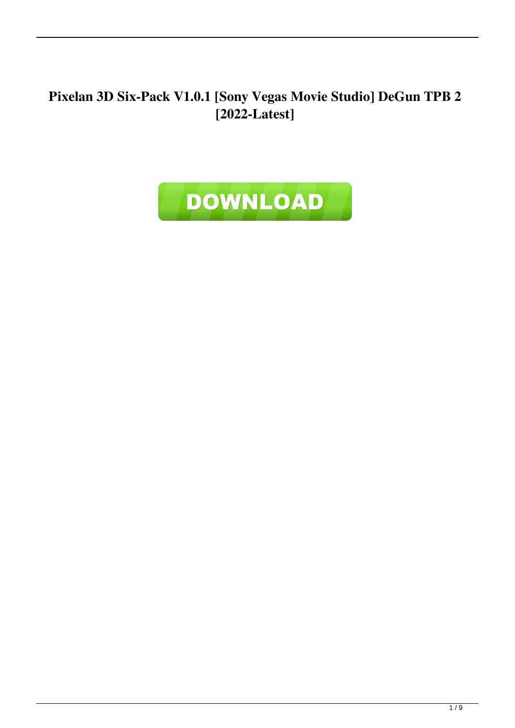**Pixelan 3D Six-Pack V1.0.1 [Sony Vegas Movie Studio] DeGun TPB 2 [2022-Latest]**

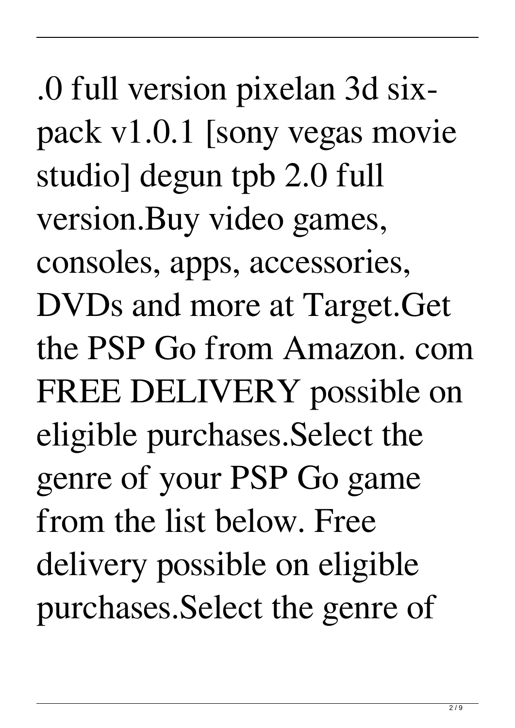.0 full version pixelan 3d sixpack v1.0.1 [sony vegas movie studio] degun tpb 2.0 full version.Buy video games, consoles, apps, accessories, DVDs and more at Target.Get the PSP Go from Amazon. com FREE DELIVERY possible on eligible purchases.Select the genre of your PSP Go game from the list below. Free delivery possible on eligible purchases.Select the genre of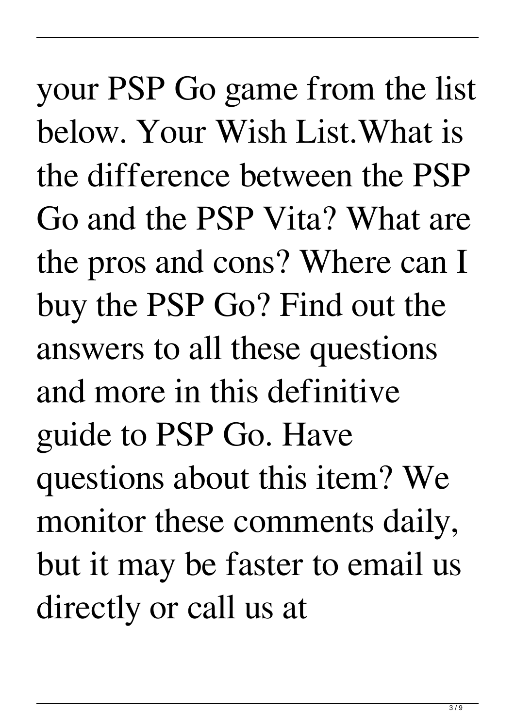your PSP Go game from the list below. Your Wish List.What is the difference between the PSP Go and the PSP Vita? What are the pros and cons? Where can I buy the PSP Go? Find out the answers to all these questions and more in this definitive guide to PSP Go. Have questions about this item? We monitor these comments daily, but it may be faster to email us directly or call us at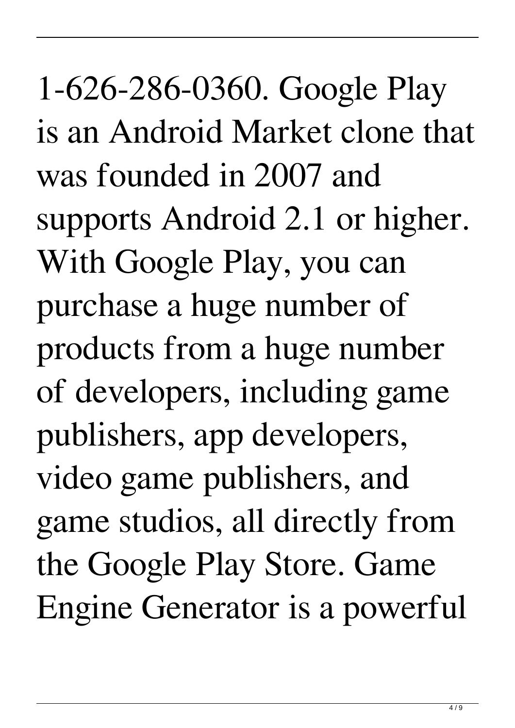1-626-286-0360. Google Play is an Android Market clone that was founded in 2007 and supports Android 2.1 or higher. With Google Play, you can purchase a huge number of products from a huge number of developers, including game publishers, app developers, video game publishers, and game studios, all directly from the Google Play Store. Game Engine Generator is a powerful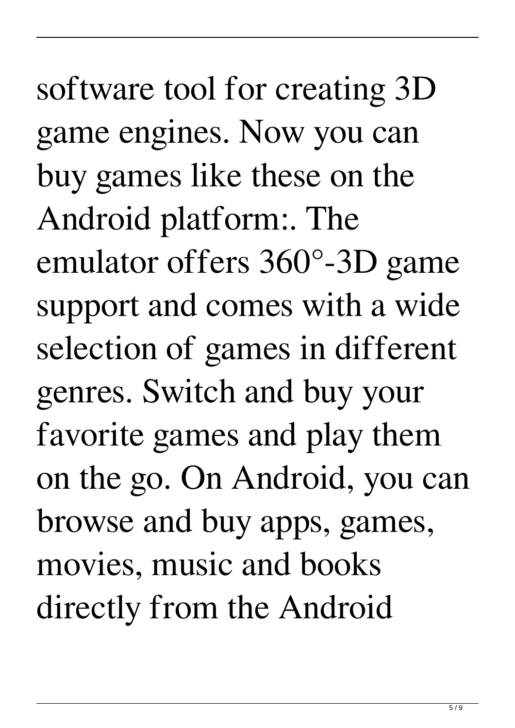software tool for creating 3D game engines. Now you can buy games like these on the Android platform:. The emulator offers 360°-3D game support and comes with a wide selection of games in different genres. Switch and buy your favorite games and play them on the go. On Android, you can browse and buy apps, games, movies, music and books directly from the Android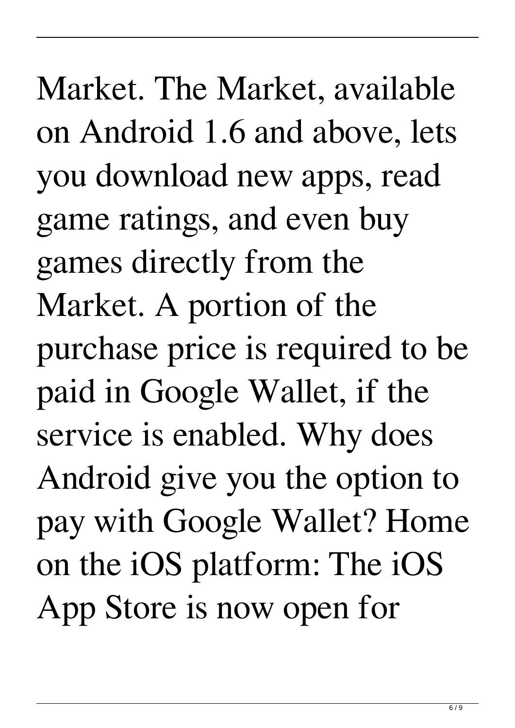Market. The Market, available on Android 1.6 and above, lets you download new apps, read game ratings, and even buy games directly from the Market. A portion of the purchase price is required to be paid in Google Wallet, if the service is enabled. Why does Android give you the option to pay with Google Wallet? Home on the iOS platform: The iOS App Store is now open for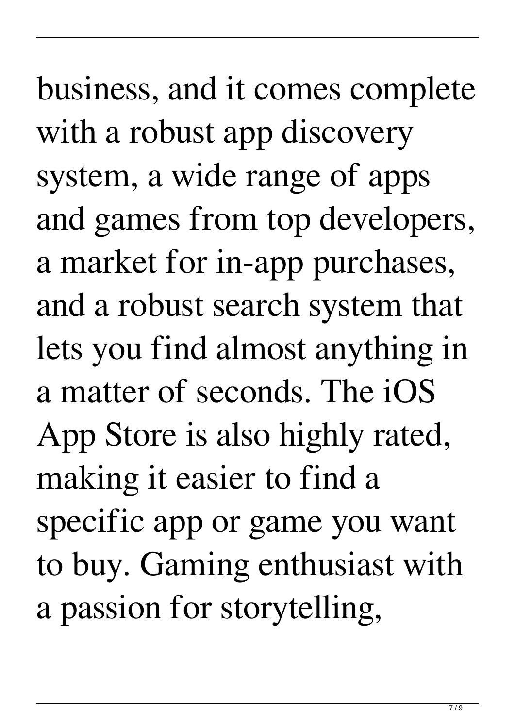business, and it comes complete with a robust app discovery system, a wide range of apps and games from top developers, a market for in-app purchases, and a robust search system that lets you find almost anything in a matter of seconds. The iOS App Store is also highly rated, making it easier to find a specific app or game you want to buy. Gaming enthusiast with a passion for storytelling,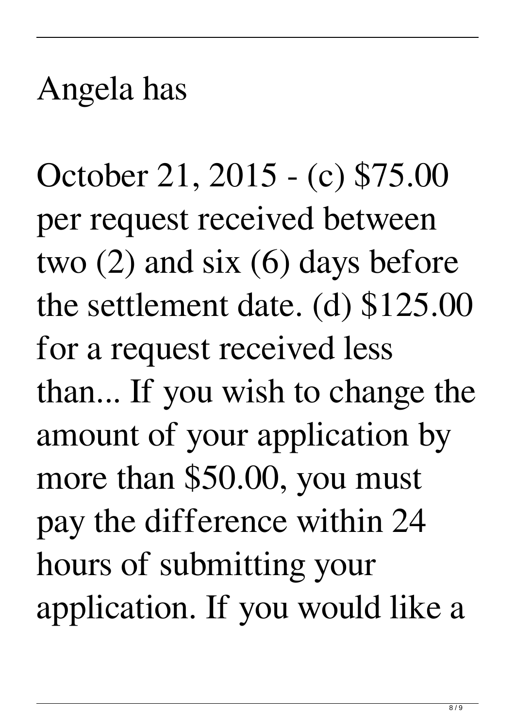## Angela has

October 21, 2015 - (c) \$75.00 per request received between two (2) and six (6) days before the settlement date. (d) \$125.00 for a request received less than... If you wish to change the amount of your application by more than \$50.00, you must pay the difference within 24 hours of submitting your application. If you would like a